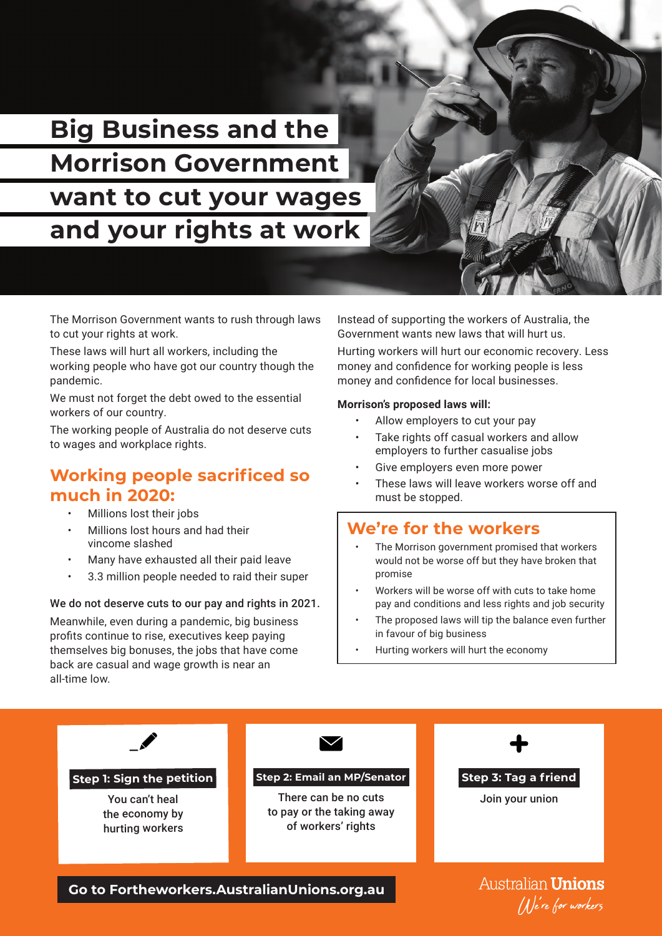**Big Business and the Morrison Government want to cut your wages and your rights at work**

The Morrison Government wants to rush through laws to cut your rights at work.

These laws will hurt all workers, including the working people who have got our country though the pandemic.

We must not forget the debt owed to the essential workers of our country.

The working people of Australia do not deserve cuts to wages and workplace rights.

# **Working people sacrificed so much in 2020:**

- Millions lost their jobs
- Millions lost hours and had their vincome slashed
- Many have exhausted all their paid leave
- 3.3 million people needed to raid their super

We do not deserve cuts to our pay and rights in 2021. Meanwhile, even during a pandemic, big business profits continue to rise, executives keep paying themselves big bonuses, the jobs that have come back are casual and wage growth is near an all-time low.

Instead of supporting the workers of Australia, the Government wants new laws that will hurt us.

Hurting workers will hurt our economic recovery. Less money and confidence for working people is less money and confidence for local businesses.

#### **Morrison's proposed laws will:**

- Allow employers to cut your pay
- Take rights off casual workers and allow employers to further casualise jobs
- Give employers even more power
- These laws will leave workers worse off and must be stopped.

# **We're for the workers**

- The Morrison government promised that workers would not be worse off but they have broken that promise
- Workers will be worse off with cuts to take home pay and conditions and less rights and job security
- The proposed laws will tip the balance even further in favour of big business
- Hurting workers will hurt the economy